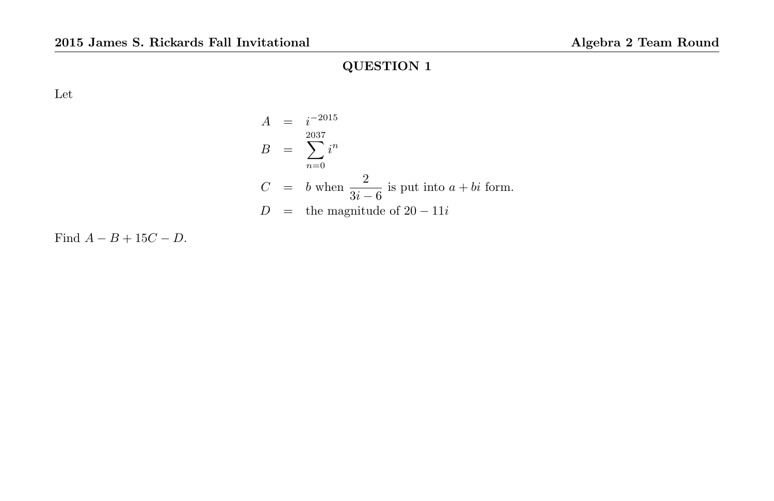Let

$$
A = i^{-2015}
$$
  
\n
$$
B = \sum_{n=0}^{2037} i^n
$$
  
\n
$$
C = b \text{ when } \frac{2}{3i - 6} \text{ is put into } a + bi \text{ form.}
$$
  
\n
$$
D = \text{the magnitude of } 20 - 11i
$$

Find  $A - B + 15C - D$ .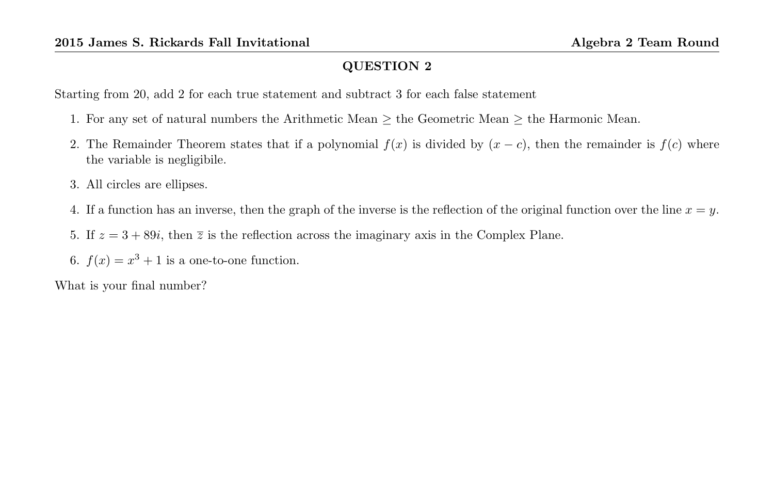Starting from 20, add 2 for each true statement and subtract 3 for each false statement

- 1. For any set of natural numbers the Arithmetic Mean  $\geq$  the Geometric Mean  $\geq$  the Harmonic Mean.
- 2. The Remainder Theorem states that if a polynomial  $f(x)$  is divided by  $(x c)$ , then the remainder is  $f(c)$  where the variable is negligibile.
- 3. All circles are ellipses.
- 4. If a function has an inverse, then the graph of the inverse is the reflection of the original function over the line  $x = y$ .
- 5. If  $z = 3 + 89i$ , then  $\overline{z}$  is the reflection across the imaginary axis in the Complex Plane.
- 6.  $f(x) = x^3 + 1$  is a one-to-one function.

What is your final number?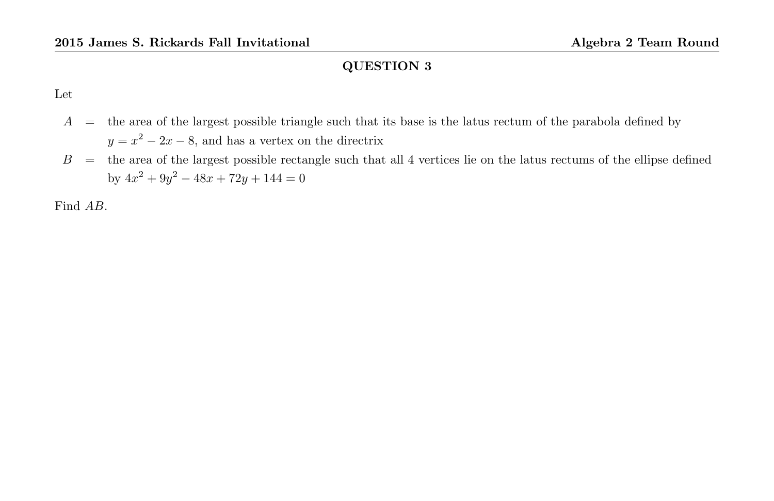Let

- $A =$  the area of the largest possible triangle such that its base is the latus rectum of the parabola defined by  $y = x^2 - 2x - 8$ , and has a vertex on the directrix
- $B =$  the area of the largest possible rectangle such that all 4 vertices lie on the latus rectums of the ellipse defined by  $4x^2 + 9y^2 - 48x + 72y + 144 = 0$

Find AB.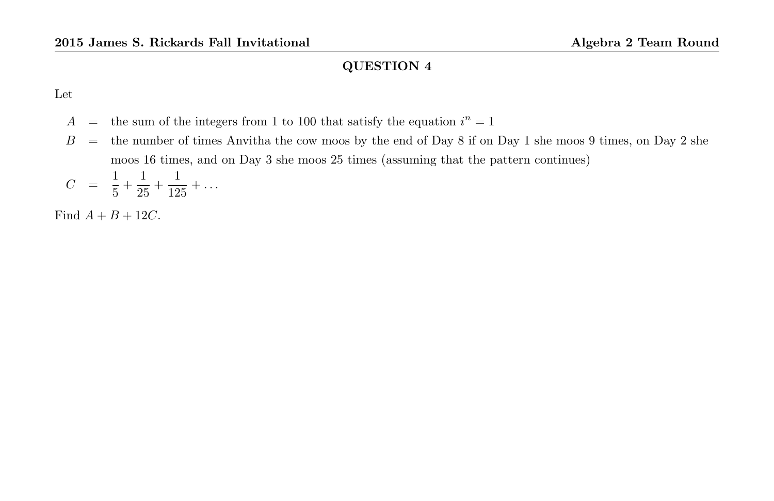Let

- $A =$  the sum of the integers from 1 to 100 that satisfy the equation  $i^n = 1$
- $B =$  the number of times Anvitha the cow moos by the end of Day 8 if on Day 1 she moos 9 times, on Day 2 she moos 16 times, and on Day 3 she moos 25 times (assuming that the pattern continues)

$$
C = \frac{1}{5} + \frac{1}{25} + \frac{1}{125} + \dots
$$

Find  $A + B + 12C$ .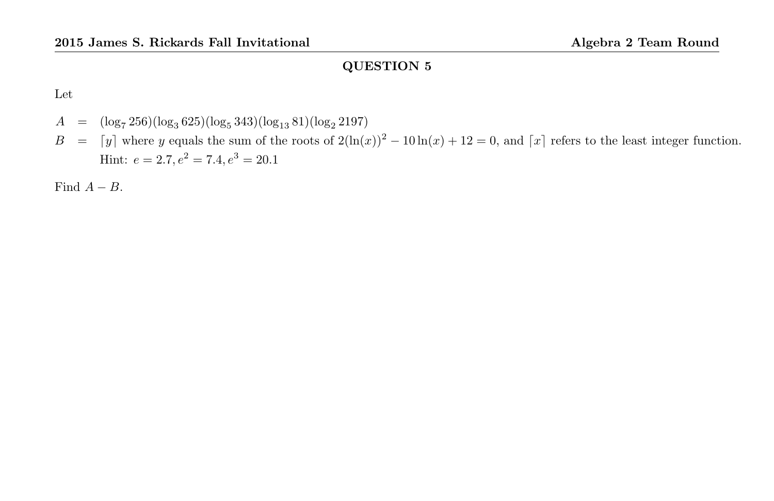Let

$$
A = (\log_7 256)(\log_3 625)(\log_5 343)(\log_{13} 81)(\log_2 2197)
$$
  
\n
$$
B = [y]
$$
 where y equals the sum of the roots of  $2(\ln(x))^2 - 10 \ln(x) + 12 = 0$ , and  $\lceil x \rceil$  refers to the least integer function.  
\nHint:  $e = 2.7$ ,  $e^2 = 7.4$ ,  $e^3 = 20.1$ 

Find  $A - B$ .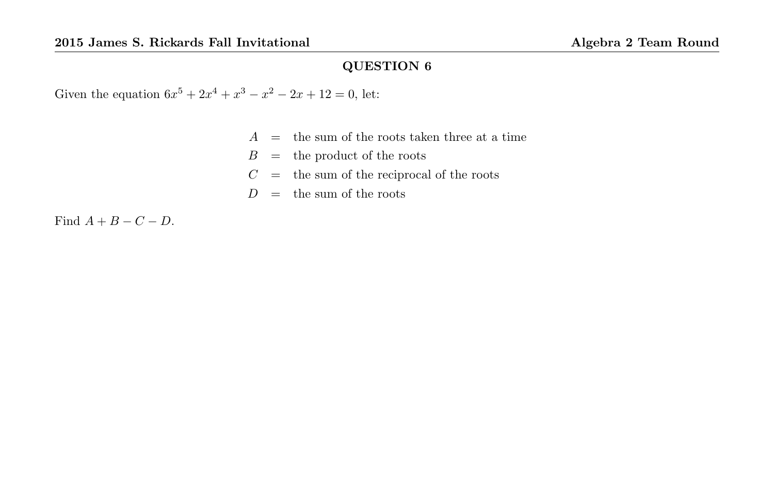Given the equation  $6x^5 + 2x^4 + x^3 - x^2 - 2x + 12 = 0$ , let:

|  |  |  | $A =$ the sum of the roots taken three at a time |  |  |  |
|--|--|--|--------------------------------------------------|--|--|--|
|  |  |  |                                                  |  |  |  |

- $B =$  the product of the roots
- $C =$  the sum of the reciprocal of the roots
- $D =$  the sum of the roots

Find  $A + B - C - D$ .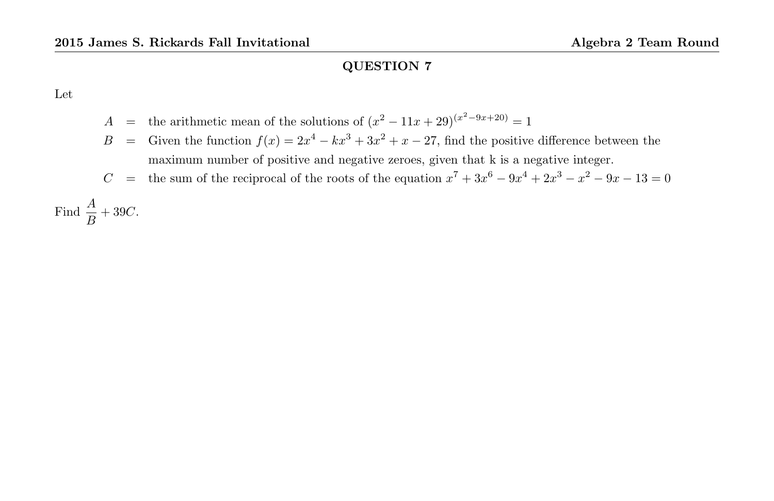Let

- A = the arithmetic mean of the solutions of  $(x^2 11x + 29)^{(x^2 9x + 20)} = 1$
- B = Given the function  $f(x) = 2x^4 kx^3 + 3x^2 + x 27$ , find the positive difference between the maximum number of positive and negative zeroes, given that k is a negative integer.
- C = the sum of the reciprocal of the roots of the equation  $x^7 + 3x^6 9x^4 + 2x^3 x^2 9x 13 = 0$

Find  $\frac{A}{B} + 39C$ .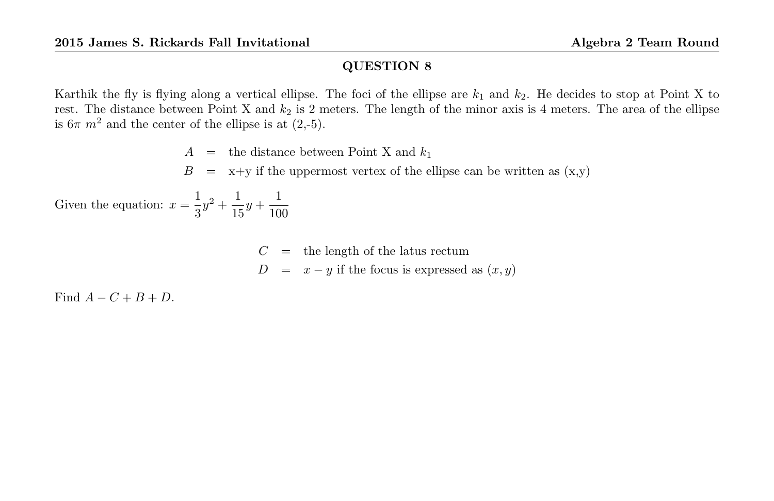Karthik the fly is flying along a vertical ellipse. The foci of the ellipse are  $k_1$  and  $k_2$ . He decides to stop at Point X to rest. The distance between Point X and  $k_2$  is 2 meters. The length of the minor axis is 4 meters. The area of the ellipse is  $6\pi$  m<sup>2</sup> and the center of the ellipse is at (2,-5).

 $A =$  the distance between Point X and  $k_1$ 

 $B = x+y$  if the uppermost vertex of the ellipse can be written as  $(x,y)$ 

Given the equation:  $x = \frac{1}{2}$  $\frac{1}{3}y^2 + \frac{1}{15}$  $\frac{1}{15}y + \frac{1}{10}$ 100

 $C =$  the length of the latus rectum

 $D = x - y$  if the focus is expressed as  $(x, y)$ 

Find  $A - C + B + D$ .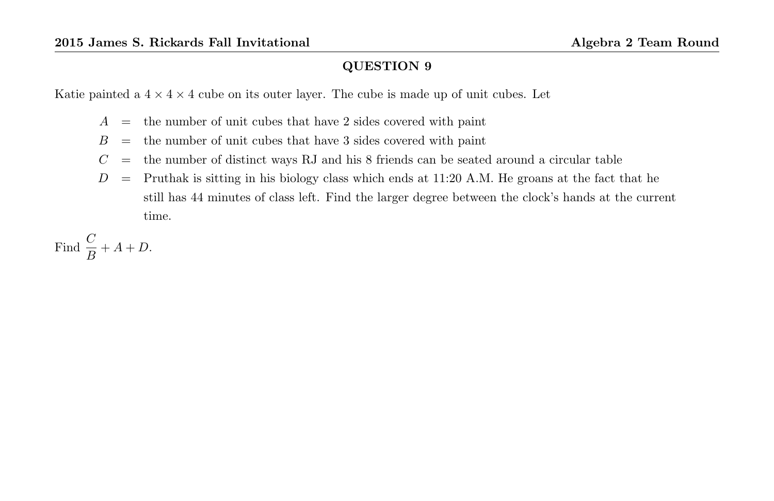Katie painted a  $4 \times 4 \times 4$  cube on its outer layer. The cube is made up of unit cubes. Let

- $A =$  the number of unit cubes that have 2 sides covered with paint
- $B =$  the number of unit cubes that have 3 sides covered with paint
- $C =$  the number of distinct ways RJ and his 8 friends can be seated around a circular table
- $D =$  Pruthak is sitting in his biology class which ends at 11:20 A.M. He groans at the fact that he still has 44 minutes of class left. Find the larger degree between the clock's hands at the current time.

Find  $\frac{C}{B} + A + D$ .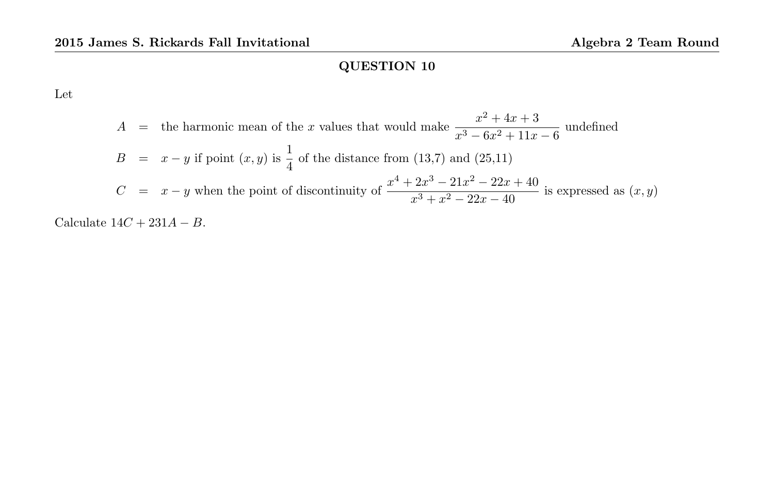Let

$$
A =
$$
 the harmonic mean of the *x* values that would make 
$$
\frac{x^2 + 4x + 3}{x^3 - 6x^2 + 11x - 6}
$$
 undefined  
\n
$$
B = x - y
$$
 if point  $(x, y)$  is  $\frac{1}{4}$  of the distance from (13,7) and (25,11)  
\n
$$
C = x - y
$$
 when the point of discontinuity of 
$$
\frac{x^4 + 2x^3 - 21x^2 - 22x + 40}{x^3 + x^2 - 22x - 40}
$$
 is expressed as  $(x, y)$ 

Calculate  $14C + 231A - B$ .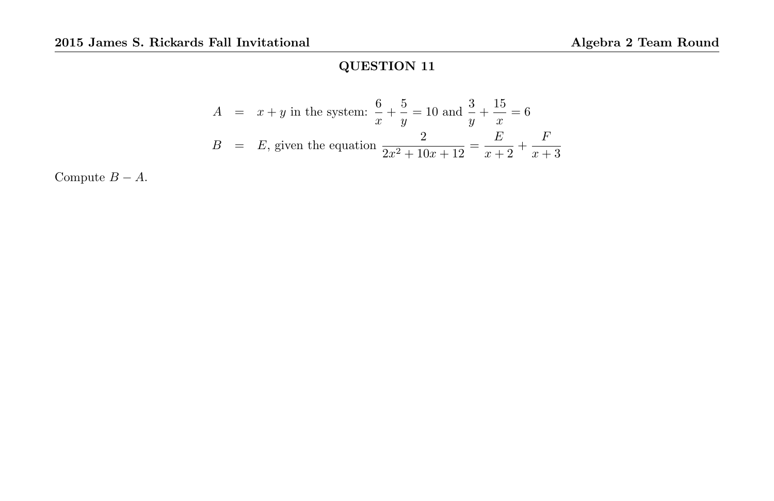$$
A = x + y \text{ in the system: } \frac{6}{x} + \frac{5}{y} = 10 \text{ and } \frac{3}{y} + \frac{15}{x} = 6
$$
  

$$
B = E, \text{ given the equation } \frac{2}{2x^2 + 10x + 12} = \frac{E}{x+2} + \frac{F}{x+3}
$$

Compute  $B - A$ .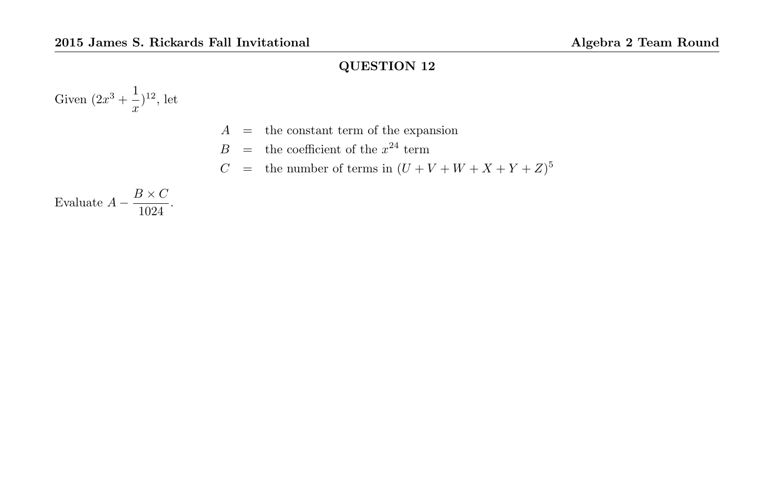Given  $(2x^3 + \frac{1}{x})$  $\frac{1}{x}$ )<sup>12</sup>, let

- $A =$  the constant term of the expansion
- $B =$  the coefficient of the  $x^{24}$  term
- $C =$  the number of terms in  $(U + V + W + X + Y + Z)^5$

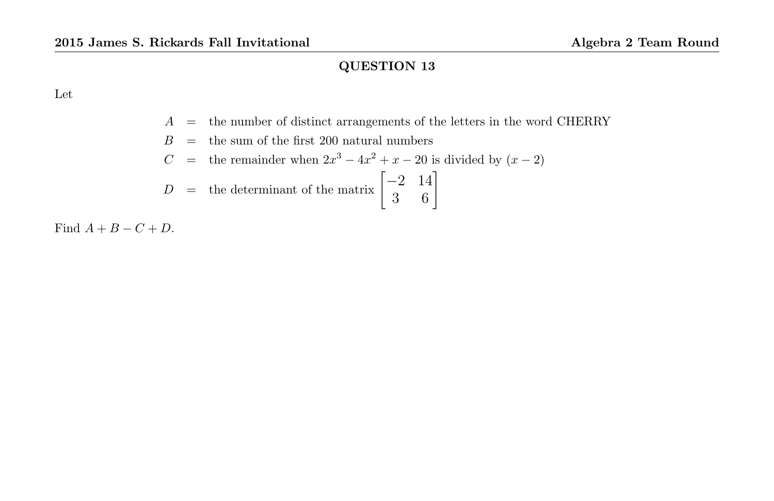Let

- $A\quad =\quad$  the number of distinct arrangements of the letters in the word CHERRY
- $B =$  the sum of the first 200 natural numbers

$$
C
$$
 = the remainder when  $2x^3 - 4x^2 + x - 20$  is divided by  $(x - 2)$ 

$$
D = \text{the determinant of the matrix } \begin{bmatrix} -2 & 14 \\ 3 & 6 \end{bmatrix}
$$

Find  $A + B - C + D$ .